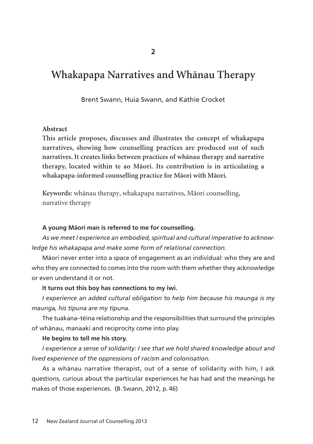# **Whakapapa Narratives and Whänau Therapy**

Brent Swann, Huia Swann, and Kathie Crocket

#### **Abstract**

**This article proposes, discusses and illustrates the concept of whakapapa narratives, showing how counselling practices are produced out of such narratives. It creates links between practices of whänau therapy and narrative therapy, located within te ao Mäori. Its contribution is in articulating a whakapapa-informed counselling practice for Mäori with Mäori.**

**Keywords:** whänau therapy, whakapapa narratives, Mäori counselling, narrative therapy

#### **A young Mäori man is referred to me for counselling.**

*As we meet I experience an embodied, spiritual and cultural imperative to acknow ledge his whakapapa and make some form of relational connection.*

Mäori never enter into a space of engagement as an individual: who they are and who they are connected to comes into the room with them whether they acknowledge or even understand it or not.

#### **It turns out this boy has connections to my iwi.**

*I experience an added cultural obligation to help him because his maunga is my maunga, his tïpuna are my tïpuna.*

The tuakana–tëina relationship and the responsibilities that surround the principles of whänau, manaaki and reciprocity come into play.

#### **He begins to tell me his story.**

*I experience a sense of solidarity: I see that we hold shared knowledge about and lived experience of the oppressions of racism and colonisation.* 

As a whänau narrative therapist, out of a sense of solidarity with him, I ask questions, curious about the particular experiences he has had and the meanings he makes of those experiences. (B. Swann, 2012, p. 46)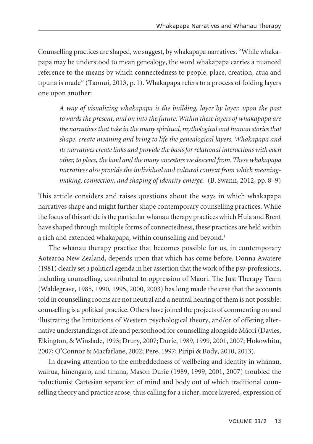Counselling practices are shaped, we suggest, by whakapapa narratives. "While whaka papa may be understood to mean genealogy, the word whakapapa carries a nuanced reference to the means by which connectedness to people, place, creation, atua and tïpuna is made" (Taonui, 2013, p. 1). Whakapapa refers to a process of folding layers one upon another:

*A way of visualizing whakapapa is the building, layer by layer, upon the past towards the present, and on into the future. Within these layers of whakapapa are the narratives that take in the many spiritual, mythological and human stories that shape, create meaning and bring to life the genealogical layers. Whakapapa and its narratives create links and provide the basis for relational interactions with each other, to place, the land and the many ancestors we descend from. These whakapapa narratives also provide the individual and cultural context from which meaningmaking, connection, and shaping of identity emerge.* (B. Swann, 2012, pp. 8–9)

This article considers and raises questions about the ways in which whakapapa narratives shape and might further shape contemporary counselling practices. While the focus of this article is the particular whänau therapy practices which Huia and Brent have shaped through multiple forms of connectedness, these practices are held within a rich and extended whakapapa, within counselling and beyond.<sup>1</sup>

The whänau therapy practice that becomes possible for us, in contemporary Aotearoa New Zealand, depends upon that which has come before. Donna Awatere (1981) clearly set a political agenda in her assertion that the work of the psy-professions, including counselling, contributed to oppression of Mäori. The Just Therapy Team (Waldegrave, 1985, 1990, 1995, 2000, 2003) has long made the case that the accounts told in counselling rooms are not neutral and a neutral hearing of them is not possible: counselling is a political practice. Others have joined the projects of commenting on and illustrating the limitations of Western psychological theory, and/or of offering alternative understandings of life and personhood for counselling alongside Mäori (Davies, Elkington, & Winslade, 1993; Drury, 2007; Durie, 1989, 1999, 2001, 2007; Hokowhitu, 2007; O'Connor & Macfarlane, 2002; Pere, 1997; Piripi & Body, 2010, 2013).

In drawing attention to the embeddedness of wellbeing and identity in whänau, wairua, hinengaro, and tinana, Mason Durie (1989, 1999, 2001, 2007) troubled the reductionist Cartesian separation of mind and body out of which traditional coun selling theory and practice arose, thus calling for a richer, more layered, expression of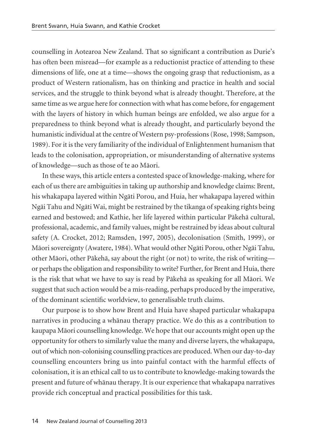counselling in Aotearoa New Zealand. That so significant a contribution as Durie's has often been misread—for example as a reductionist practice of attending to these dimensions of life, one at a time—shows the ongoing grasp that reductionism, as a product of Western rationalism, has on thinking and practice in health and social services, and the struggle to think beyond what is already thought. Therefore, at the same time as we argue here for connection with what has come before, for engagement with the layers of history in which human beings are enfolded, we also argue for a preparedness to think beyond what is already thought, and particularly beyond the humanistic individual at the centre of Western psy-professions (Rose, 1998; Sampson, 1989). For it is the very familiarity of the individual of Enlightenment humanism that leads to the colonisation, appropriation, or misunderstanding of alternative systems of knowledge—such as those of te ao Mäori.

In these ways, this article enters a contested space of knowledge-making, where for each of us there are ambiguities in taking up authorship and knowledge claims: Brent, his whakapapa layered within Ngäti Porou, and Huia, her whakapapa layered within Ngäi Tahu and Ngäti Wai, might be restrained by the tikanga of speaking rights being earned and bestowed; and Kathie, her life layered within particular Päkehä cultural, professional, academic, and family values, might be restrained by ideas about cultural safety (A. Crocket, 2012; Ramsden, 1997, 2005), decolonisation (Smith, 1999), or Mäori sovereignty (Awatere, 1984). What would other Ngäti Porou, other Ngäi Tahu, other Mäori, other Päkehä, say about the right (or not) to write, the risk of writing or perhaps the obligation and responsibility to write? Further, for Brent and Huia, there is the risk that what we have to say is read by Päkehä as speaking for all Mäori. We suggest that such action would be a mis-reading, perhaps produced by the imperative, of the dominant scientific worldview, to generalisable truth claims.

Our purpose is to show how Brent and Huia have shaped particular whakapapa narratives in producing a whänau therapy practice. We do this as a contribution to kaupapa Mäori counselling knowledge. We hope that our accounts might open up the opportunity for others to similarly value the many and diverse layers, the whakapapa, out of which non-colonising counselling practices are produced. When our day-to-day counselling encounters bring us into painful contact with the harmful effects of colonisation, it is an ethical call to us to contribute to knowledge-making towards the present and future of whänau therapy. It is our experience that whakapapa narratives provide rich conceptual and practical possibilities for this task.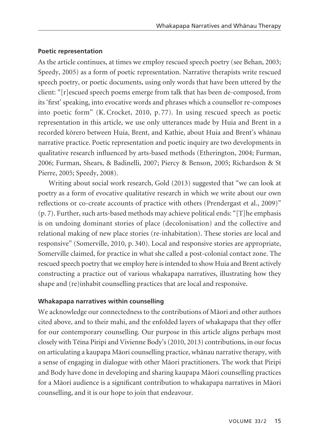## **Poetic representation**

As the article continues, at times we employ rescued speech poetry (see Behan, 2003; Speedy, 2005) as a form of poetic representation. Narrative therapists write rescued speech poetry, or poetic documents, using only words that have been uttered by the client: "[r]escued speech poems emerge from talk that has been de-composed, from its 'first' speaking, into evocative words and phrases which a counsellor re-composes into poetic form" (K. Crocket, 2010, p. 77). In using rescued speech as poetic representation in this article, we use only utterances made by Huia and Brent in a recorded körero between Huia, Brent, and Kathie, about Huia and Brent's whänau narrative practice. Poetic representation and poetic inquiry are two developments in qualitative research influenced by arts-based methods (Etherington, 2004; Furman, 2006; Furman, Shears, & Badinelli, 2007; Piercy & Benson, 2005; Richardson & St Pierre, 2005; Speedy, 2008).

Writing about social work research, Gold (2013) suggested that "we can look at poetry as a form of evocative qualitative research in which we write about our own reflections or co-create accounts of practice with others (Prendergast et al., 2009)" (p. 7). Further, such arts-based methods may achieve political ends: "[T]he emphasis is on undoing dominant stories of place (decolonisation) and the collective and relational making of new place stories (re-inhabitation). These stories are local and responsive" (Somerville, 2010, p. 340). Local and responsive stories are appropriate, Somerville claimed, for practice in what she called a post-colonial contact zone. The rescued speech poetry that we employ here is intended to show Huia and Brent actively constructing a practice out of various whakapapa narratives, illustrating how they shape and (re)inhabit counselling practices that are local and responsive.

## **Whakapapa narratives within counselling**

We acknowledge our connectedness to the contributions of Mäori and other authors cited above, and to their mahi, and the enfolded layers of whakapapa that they offer for our contemporary counselling. Our purpose in this article aligns perhaps most closely with Tëina Piripi and Vivienne Body's (2010, 2013) contributions, in our focus on articulating a kaupapa Mäori counselling practice, whänau narrative therapy, with a sense of engaging in dialogue with other Mäori practitioners. The work that Piripi and Body have done in developing and sharing kaupapa Mäori counselling practices for a Mäori audience is a significant contribution to whakapapa narratives in Mäori counselling, and it is our hope to join that endeavour.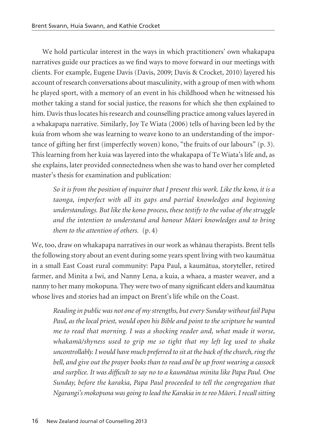We hold particular interest in the ways in which practitioners' own whakapapa narratives guide our practices as we find ways to move forward in our meetings with clients. For example, Eugene Davis (Davis, 2009; Davis & Crocket, 2010) layered his account of research conversations about masculinity, with a group of men with whom he played sport, with a memory of an event in his childhood when he witnessed his mother taking a stand for social justice, the reasons for which she then explained to him. Davis thus locates his research and counselling practice among values layered in a whakapapa narrative. Similarly, Joy Te Wiata (2006) tells of having been led by the kuia from whom she was learning to weave kono to an understanding of the impor tance of gifting her first (imperfectly woven) kono, "the fruits of our labours" (p. 3). This learning from her kuia was layered into the whakapapa of Te Wiata's life and, as she explains, later provided connectedness when she was to hand over her completed master's thesis for examination and publication:

*So it is from the position of inquirer that I present this work. Like the kono, it is a taonga, imperfect with all its gaps and partial knowledges and beginning understandings. But like the kono process, these testify to the value of the struggle and the intention to understand and honour Mäori knowledges and to bring them to the attention of others.*  $(p, 4)$ 

We, too, draw on whakapapa narratives in our work as whänau therapists. Brent tells the following story about an event during some years spent living with two kaumätua in a small East Coast rural community: Papa Paul, a kaumätua, storyteller, retired farmer, and Minita a Iwi, and Nanny Lena, a kuia, a whaea, a master weaver, and a nanny to her many mokopuna. They were two of many significant elders and kaumätua whose lives and stories had an impact on Brent's life while on the Coast.

*Reading in public was not one of my strengths, but every Sunday without fail Papa Paul, as the local priest, would open his Bible and point to the scripture he wanted me to read that morning. I was a shocking reader and, what made it worse, whakamä/shyness used to grip me so tight that my left leg used to shake uncontrollably. I would have much preferred to sit at the back of the church, ring the bell, and give out the prayer books than to read and be up front wearing a cassock and surplice. It was difficult to say no to a kaumätua minita like Papa Paul. One Sunday, before the karakia, Papa Paul proceeded to tell the congregation that Ngarangi's mokopuna was going to lead the Karakia in te reo Mäori. I recall sitting*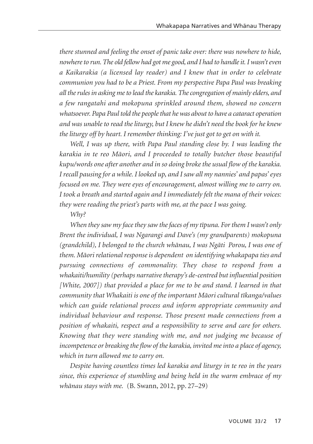*there stunned and feeling the onset of panic take over: there was nowhere to hide, nowhere to run. The old fellow had got me good, and I had to handle it. I wasn't even a Kaikarakia (a licensed lay reader) and I knew that in order to celebrate communion you had to be a Priest. From my perspective Papa Paul was breaking all the rules in asking me to lead the karakia. The congregation of mainly elders, and a few rangatahi and mokopuna sprinkled around them, showed no concern whatsoever. Papa Paul told the people that he was about to have a cataract operation and was unable to read the liturgy, but I knew he didn't need the book for he knew the liturgy off by heart. I remember thinking: I've just got to get on with it.* 

*Well, I was up there, with Papa Paul standing close by. I was leading the karakia in te reo Mäori, and I proceeded to totally butcher those beautiful kupu/words one after another and in so doing broke the usual flow of the karakia. I recall pausing for a while. I looked up, and I saw all my nannies' and papas' eyes focused on me. They were eyes of encouragement, almost willing me to carry on. I took a breath and started again and I immediately felt the mana of their voices: they were reading the priest's parts with me, at the pace I was going.*

## *Why?*

*When they saw my face they saw the faces of my tïpuna. For them I wasn't only Brent the individual, I was Ngarangi and Dave's (my grandparents) mokopuna (grandchild), I belonged to the church whänau, I was Ngäti Porou, I was one of them. Mäori relational response is dependent on identifying whakapapa ties and pursuing connections of commonality. They chose to respond from a whakaiti/humility (perhaps narrative therapy's de-centred but influential position [White, 2007]) that provided a place for me to be and stand. I learned in that community that Whakaiti is one of the important Mäori cultural tïkanga/values which can guide relational process and inform appropriate community and individual behaviour and response. Those present made connections from a position of whakaiti, respect and a responsibility to serve and care for others. Knowing that they were standing with me, and not judging me because of incompetence or breaking the flow of the karakia, invited me into a place of agency, which in turn allowed me to carry on.*

*Despite having countless times led karakia and liturgy in te reo in the years since, this experience of stumbling and being held in the warm embrace of my whänau stays with me.* (B. Swann, 2012, pp. 27–29)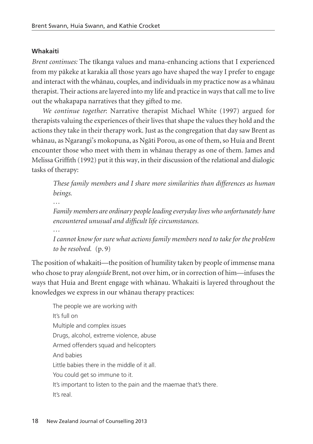## **Whakaiti**

*Brent continues:* The tïkanga values and mana-enhancing actions that I experienced from my päkeke at karakia all those years ago have shaped the way I prefer to engage and interact with the whänau, couples, and individuals in my practice now as a whänau therapist. Their actions are layered into my life and practice in ways that call me to live out the whakapapa narratives that they gifted to me.

*We continue together*: Narrative therapist Michael White (1997) argued for therapists valuing the experiences of their lives that shape the values they hold and the actions they take in their therapy work. Just as the congregation that day saw Brent as whänau, as Ngarangi's mokopuna, as Ngäti Porou, as one of them, so Huia and Brent encounter those who meet with them in whänau therapy as one of them. James and Melissa Griffith (1992) put it this way, in their discussion of the relational and dialogic tasks of therapy:

*These family members and I share more similarities than differences as human beings.*

*Family members are ordinary people leading everyday lives who unfortunately have encountered unusual and difficult life circumstances.* 

*I cannot know for sure what actions family members need to take for the problem to be resolved.* (p. 9)

The position of whakaiti—the position of humility taken by people of immense mana who chose to pray *alongside* Brent, not over him, or in correction of him—infuses the ways that Huia and Brent engage with whänau. Whakaiti is layered throughout the knowledges we express in our whänau therapy practices:

The people we are working with It's full on Multiple and complex issues Drugs, alcohol, extreme violence, abuse Armed offenders squad and helicopters And babies Little babies there in the middle of it all. You could get so immune to it. It's important to listen to the pain and the maemae that's there. It's real.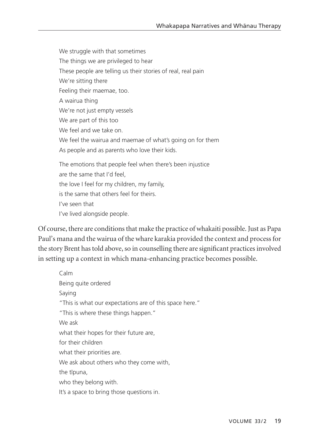We struggle with that sometimes The things we are privileged to hear These people are telling us their stories of real, real pain We're sitting there Feeling their maemae, too. A wairua thing We're not just empty vessels We are part of this too We feel and we take on. We feel the wairua and maemae of what's going on for them As people and as parents who love their kids. The emotions that people feel when there's been injustice are the same that I'd feel, the love I feel for my children, my family, is the same that others feel for theirs. I've seen that

I've lived alongside people.

Of course, there are conditions that make the practice of whakaiti possible. Just as Papa Paul's mana and the wairua of the whare karakia provided the context and process for the story Brent has told above, so in counselling there are significant practices involved in setting up a context in which mana-enhancing practice becomes possible.

Calm Being quite ordered Saying "This is what our expectations are of this space here." "This is where these things happen." We ask what their hopes for their future are, for their children what their priorities are. We ask about others who they come with, the tïpuna, who they belong with. It's a space to bring those questions in.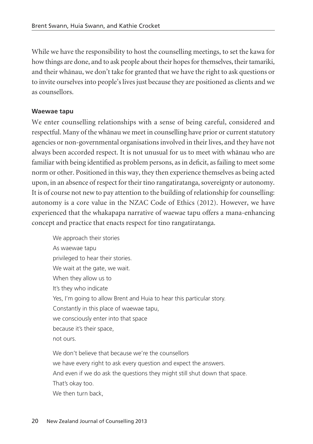While we have the responsibility to host the counselling meetings, to set the kawa for how things are done, and to ask people about their hopes for themselves, their tamariki, and their whänau, we don't take for granted that we have the right to ask questions or to invite ourselves into people's lives just because they are positioned as clients and we as counsellors.

#### **Waewae tapu**

We enter counselling relationships with a sense of being careful, considered and respectful. Many of the whänau we meet in counselling have prior or current statutory agencies or non-governmental organisations involved in their lives, and they have not always been accorded respect. It is not unusual for us to meet with whänau who are familiar with being identified as problem persons, as in deficit, as failing to meet some norm or other. Positioned in this way, they then experience themselves as being acted upon, in an absence of respect for their tino rangatiratanga, sovereignty or autonomy. It is of course not new to pay attention to the building of relationship for counselling: autonomy is a core value in the NZAC Code of Ethics (2012). However, we have experienced that the whakapapa narrative of waewae tapu offers a mana-enhancing concept and practice that enacts respect for tino rangatiratanga.

We approach their stories As waewae tapu privileged to hear their stories. We wait at the gate, we wait. When they allow us to It's they who indicate Yes, I'm going to allow Brent and Huia to hear this particular story. Constantly in this place of waewae tapu, we consciously enter into that space because it's their space, not ours.

We don't believe that because we're the counsellors we have every right to ask every question and expect the answers. And even if we do ask the questions they might still shut down that space. That's okay too. We then turn back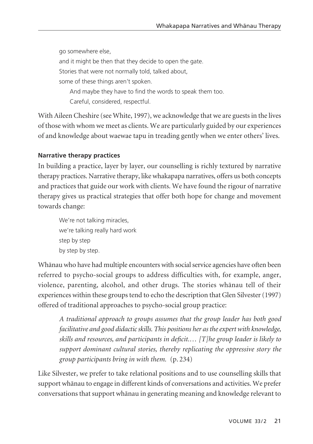go somewhere else, and it might be then that they decide to open the gate. Stories that were not normally told, talked about, some of these things aren't spoken. And maybe they have to find the words to speak them too. Careful, considered, respectful.

With Aileen Cheshire (see White, 1997), we acknowledge that we are guests in the lives of those with whom we meet as clients. We are particularly guided by our experiences of and knowledge about waewae tapu in treading gently when we enter others' lives.

## **Narrative therapy practices**

In building a practice, layer by layer, our counselling is richly textured by narrative therapy practices. Narrative therapy, like whakapapa narratives, offers us both concepts and practices that guide our work with clients. We have found the rigour of narrative therapy gives us practical strategies that offer both hope for change and movement towards change:

We're not talking miracles. we're talking really hard work step by step by step by step.

Whänau who have had multiple encounters with social service agencies have often been referred to psycho-social groups to address difficulties with, for example, anger, violence, parenting, alcohol, and other drugs. The stories whänau tell of their experiences within these groups tend to echo the description that Glen Silvester (1997) offered of traditional approaches to psycho-social group practice:

*A traditional approach to groups assumes that the group leader has both good facilitative and good didactic skills. This positions her as the expert with knowledge, skills and resources, and participants in deficit.… [T]he group leader is likely to support dominant cultural stories, thereby replicating the oppressive story the group participants bring in with them.* (p. 234)

Like Silvester, we prefer to take relational positions and to use counselling skills that support whänau to engage in different kinds of conversations and activities. We prefer conversations that support whänau in generating meaning and knowledge relevant to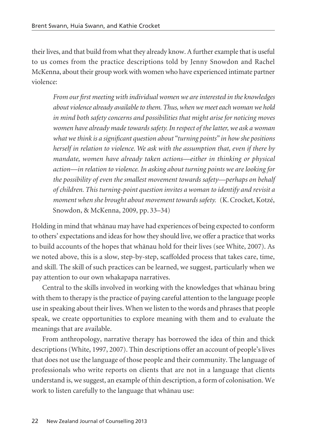their lives, and that build from what they already know. A further example that is useful to us comes from the practice descriptions told by Jenny Snowdon and Rachel McKenna, about their group work with women who have experienced intimate partner violence:

*From our first meeting with individual women we are interested in the knowledges about violence already available to them. Thus, when we meet each woman we hold in mind both safety concerns and possibilities that might arise for noticing moves women have already made towards safety. In respect of the latter, we ask a woman what we think is a significant question about "turning points" in how she positions herself in relation to violence. We ask with the assumption that, even if there by mandate, women have already taken actions—either in thinking or physical action—in relation to violence. In asking about turning points we are looking for the possibility of even the smallest movement towards safety—perhaps on behalf of children. This turning-point question invites a woman to identify and revisit a moment when she brought about movement towards safety.* (K. Crocket, Kotzé, Snowdon, & McKenna, 2009, pp. 33–34)

Holding in mind that whänau may have had experiences of being expected to conform to others' expectations and ideas for how they should live, we offer a practice that works to build accounts of the hopes that whänau hold for their lives (see White, 2007). As we noted above, this is a slow, step-by-step, scaffolded process that takes care, time, and skill. The skill of such practices can be learned, we suggest, particularly when we pay attention to our own whakapapa narratives.

Central to the skills involved in working with the knowledges that whänau bring with them to therapy is the practice of paying careful attention to the language people use in speaking about their lives. When we listen to the words and phrases that people speak, we create opportunities to explore meaning with them and to evaluate the meanings that are available.

From anthropology, narrative therapy has borrowed the idea of thin and thick descriptions (White, 1997, 2007). Thin descriptions offer an account of people's lives that does not use the language of those people and their community. The language of professionals who write reports on clients that are not in a language that clients understand is, we suggest, an example of thin description, a form of colonisation. We work to listen carefully to the language that whänau use: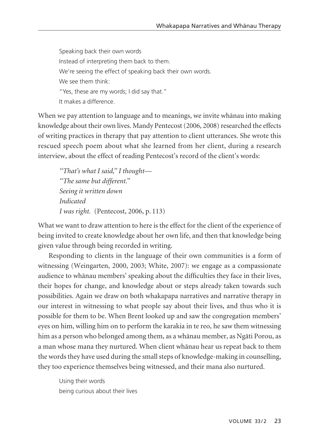Speaking back their own words Instead of interpreting them back to them. We're seeing the effect of speaking back their own words. We see them think: "Yes, these are my words; I did say that." It makes a difference.

When we pay attention to language and to meanings, we invite whänau into making knowledge about their own lives. Mandy Pentecost (2006, 2008) researched the effects of writing practices in therapy that pay attention to client utterances. She wrote this rescued speech poem about what she learned from her client, during a research interview, about the effect of reading Pentecost's record of the client's words:

*''That's what I said,'' I thought— ''The same but different.'' Seeing it written down Indicated I was right.* (Pentecost, 2006, p. 113)

What we want to draw attention to here is the effect for the client of the experience of being invited to create knowledge about her own life, and then that knowledge being given value through being recorded in writing.

Responding to clients in the language of their own communities is a form of witnessing (Weingarten, 2000, 2003; White, 2007): we engage as a compassionate audience to whänau members' speaking about the difficulties they face in their lives, their hopes for change, and knowledge about or steps already taken towards such possibilities. Again we draw on both whakapapa narratives and narrative therapy in our interest in witnessing to what people say about their lives, and thus who it is possible for them to be. When Brent looked up and saw the congregation members' eyes on him, willing him on to perform the karakia in te reo, he saw them witnessing him as a person who belonged among them, as a whänau member, as Ngäti Porou, as a man whose mana they nurtured. When client whänau hear us repeat back to them the words they have used during the small steps of knowledge-making in counselling, they too experience themselves being witnessed, and their mana also nurtured.

Using their words being curious about their lives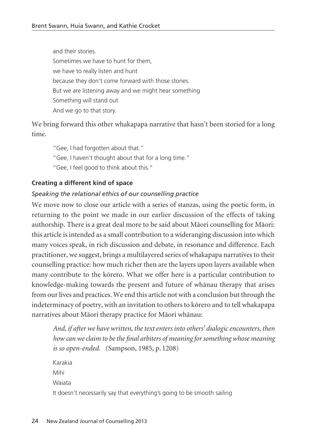and their stories. Sometimes we have to hunt for them, we have to really listen and hunt because they don't come forward with those stories. But we are listening away and we might hear something Something will stand out And we go to that story.

We bring forward this other whakapapa narrative that hasn't been storied for a long time.

"Gee, I had forgotten about that."

"Gee, I haven't thought about that for a long time."

"Gee, I feel good to think about this."

## **Creating a different kind of space**

## *Speaking the relational ethics of our counselling practice*

We move now to close our article with a series of stanzas, using the poetic form, in returning to the point we made in our earlier discussion of the effects of taking authorship. There is a great deal more to be said about Mäori counselling for Mäori: this article is intended as a small contribution to a wideranging discussion into which many voices speak, in rich discussion and debate, in resonance and difference. Each practitioner, we suggest, brings a multilayered series of whakapapa narratives to their counselling practice: how much richer then are the layers upon layers available when many contribute to the körero. What we offer here is a particular contribution to knowledge-making towards the present and future of whänau therapy that arises from our lives and practices. We end this article not with a conclusion but through the indeterminacy of poetry, with an invitation to others to körero and to tell whakapapa narratives about Mäori therapy practice for Mäori whänau:

*And, if after we have written, the text enters into others' dialogic encounters, then how can we claim to be the final arbiters of meaning for something whose meaning is so open-ended.* (Sampson, 1985, p. 1208)

Karakia Mihi Waiata It doesn't necessarily say that everything's going to be smooth sailing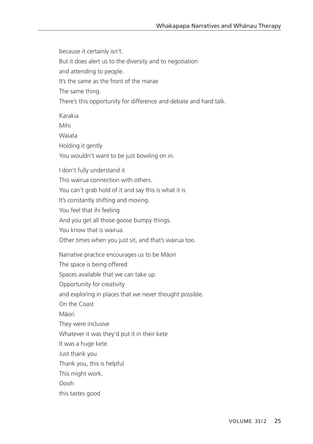because it certainly isn't. But it does alert us to the diversity and to negotiation and attending to people. It's the same as the front of the marae The same thing. There's this opportunity for difference and debate and hard talk. Karakia Mihi Waiata Holding it gently You wouldn't want to be just bowling on in. I don't fully understand it This wairua connection with others. You can't grab hold of it and say this is what it is It's constantly shifting and moving. You feel that ihi feeling And you get all those goose bumpy things. You know that is wairua. Other times when you just sit, and that's wairua too. Narrative practice encourages us to be Mäori The space is being offered Spaces available that we can take up. Opportunity for creativity and exploring in places that we never thought possible. On the Coast Mäori They were inclusive Whatever it was they'd put it in their kete It was a huge kete. Just thank you Thank you, this is helpful This might work. Oooh this tastes good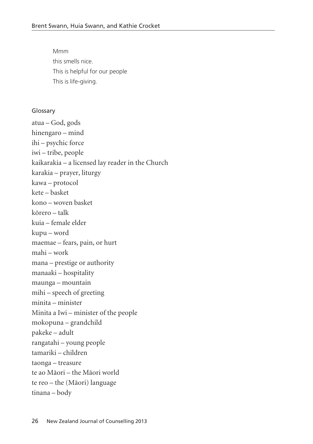Mmm this smells nice. This is helpful for our people This is life-giving.

#### Glossary

atua – God, gods hinengaro – mind ihi – psychic force iwi – tribe, people kaikarakia – a licensed lay reader in the Church karakia – prayer, liturgy kawa – protocol kete – basket kono – woven basket körero – talk kuia – female elder kupu – word maemae – fears, pain, or hurt mahi – work mana – prestige or authority manaaki – hospitality maunga – mountain mihi – speech of greeting minita – minister Minita a Iwi – minister of the people mokopuna – grandchild pakeke – adult rangatahi – young people tamariki – children taonga – treasure te ao Mäori – the Mäori world te reo – the (Mäori) language tinana – body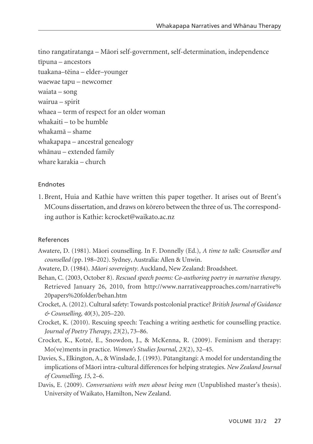tino rangatiratanga – Mäori self-government, self-determination, independence tïpuna – ancestors tuakana–tëina – elder–younger waewae tapu – newcomer waiata – song wairua – spirit whaea – term of respect for an older woman whakaiti – to be humble whakamä – shame whakapapa – ancestral genealogy whänau – extended family whare karakia – church

## Endnotes

1. Brent, Huia and Kathie have written this paper together. It arises out of Brent's MCouns dissertation, and draws on körero between the three of us. The correspond ing author is Kathie: kcrocket@waikato.ac.nz

## References

- Awatere, D. (1981). Mäori counselling. In F. Donnelly (Ed.), *A time to talk: Counsellor and counselled* (pp. 198–202). Sydney, Australia: Allen & Unwin.
- Awatere, D. (1984). *Mäori sovereignty*. Auckland, New Zealand: Broadsheet.
- Behan, C. (2003, October 8). *Rescued speech poems: Co-authoring poetry in narrative therapy*. Retrieved January 26, 2010, from http://www.narrativeapproaches.com/narrative% 20papers%20folder/behan.htm
- Crocket, A. (2012). Cultural safety: Towards postcolonial practice? *British Journal of Guidance & Counselling*, *40*(3), 205–220.
- Crocket, K. (2010). Rescuing speech: Teaching a writing aesthetic for counselling practice. *Journal of Poetry Therapy*, *23*(2), 73–86.
- Crocket, K., Kotzé, E., Snowdon, J., & McKenna, R. (2009). Feminism and therapy: Mo(ve)ments in practice. *Women's Studies Journal*, *23*(2), 32–45.
- Davies, S., Elkington, A., & Winslade, J. (1993). Pütangitangi: A model for understanding the implications of Mäori intra-cultural differences for helping strategies. *New Zealand Journal of Counselling*, *15*, 2–6.
- Davis, E. (2009). *Conversations with men about being men* (Unpublished master's thesis). University of Waikato, Hamilton, New Zealand.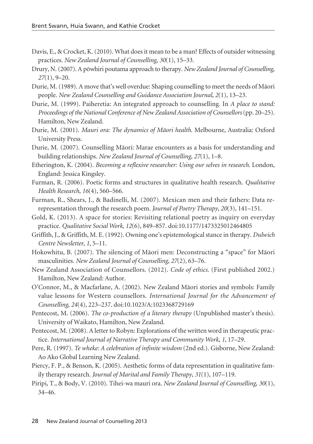- Davis, E., & Crocket, K. (2010). What does it mean to be a man? Effects of outsider witnessing practices. *New Zealand Journal of Counselling*, *30*(1), 15–33.
- Drury, N. (2007). A pöwhiri poutama approach to therapy. *New Zealand Journal of Counselling*, *27*(1), 9–20.
- Durie, M. (1989). A move that's well overdue: Shaping counselling to meet the needs of Mäori people. *New Zealand Counselling and Guidance Association Journal*, *2*(1), 13–23.
- Durie, M. (1999). Paiheretia: An integrated approach to counselling. In *A place to stand: Proceedings of the National Conference of New Zealand Association of Counsellors*(pp. 20–25). Hamilton, New Zealand.
- Durie, M. (2001). *Mauri ora: The dynamics of Mäori health*. Melbourne, Australia: Oxford University Press.
- Durie, M. (2007). Counselling Mäori: Marae encounters as a basis for understanding and building relationships. *New Zealand Journal of Counselling*, *27*(1), 1–8.
- Etherington, K. (2004). *Becoming a reflexive researcher: Using our selves in research*. London, England: Jessica Kingsley.
- Furman, R. (2006). Poetic forms and structures in qualitative health research. *Qualitative Health Research*, *16*(4), 560–566.
- Furman, R., Shears, J., & Badinelli, M. (2007). Mexican men and their fathers: Data rerepresentation through the research poem. *Journal of Poetry Therapy*, *20*(3), 141–151.
- Gold, K. (2013). A space for stories: Revisiting relational poetry as inquiry on everyday practice. *Qualitative Social Work, 12*(6), 849–857. doi:10.1177/1473325012464805
- Griffith, J., & Griffith, M. E. (1992). Owning one's epistemological stance in therapy. *Dulwich Centre Newsletter*, *1*, 5–11.
- Hokowhitu, B. (2007). The silencing of Mäori men: Deconstructing a "space" for Mäori masculinities. *New Zealand Journal of Counselling*, *27*(2), 63–76.
- New Zealand Association of Counsellors. (2012). *Code of ethics*. (First published 2002.) Hamilton, New Zealand: Author.
- O'Connor, M., & Macfarlane, A. (2002). New Zealand Mäori stories and symbols: Family value lessons for Western counsellors. *International Journal for the Advancement of Counselling*, *24*(4), 223–237. doi:10.1023/A:1023368729169
- Pentecost, M. (2006). *The co-production of a literary therapy* (Unpublished master's thesis). University of Waikato, Hamilton, New Zealand.
- Pentecost, M. (2008). A letter to Robyn: Explorations of the written word in therapeutic practice. *International Journal of Narrative Therapy and Community Work*, *1*, 17–29.
- Pere, R. (1997). *Te wheke: A celebration of infinite wisdom* (2nd ed.). Gisborne, New Zealand: Ao Ako Global Learning New Zealand.
- Piercy, F. P., & Benson, K. (2005). Aesthetic forms of data representation in qualitative family therapy research. *Journal of Marital and Family Therapy*, *31*(1), 107–119.
- Piripi, T., & Body, V. (2010). Tihei-wa mauri ora. *New Zealand Journal of Counselling*, *30*(1), 34–46.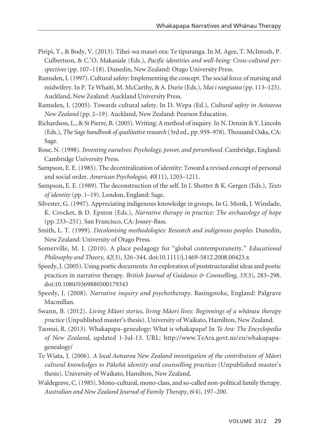- Piripi, T., & Body, V. (2013). Tihei-wa mauri ora: Te tipuranga. In M. Agee, T. McIntosh, P. Culbertson, & C.'O. Makasiale (Eds.), *Pacific identities and well-being: Cross-cultural perspectives* (pp. 107–118). Dunedin, New Zealand: Otago University Press.
- Ramsden, I. (1997). Cultural safety: Implementing the concept. The social force of nursing and midwifery. In P. Te Whaiti, M. McCarthy, & A. Durie (Eds.), *Mai i rangiatea* (pp. 113–125). Auckland, New Zealand: Auckland University Press.
- Ramsden, I. (2005). Towards cultural safety. In D. Wepa (Ed.), *Cultural safety in Aotearoa New Zealand* (pp. 2–19). Auckland, New Zealand: Pearson Education.
- Richardson, L., & St Pierre, B. (2005). Writing: A method of inquiry. In N. Denzin & Y. Lincoln (Eds.), *The Sage handbook of qualitative research* (3rd ed., pp. 959–978). Thousand Oaks, CA: Sage.
- Rose, N. (1998). *Inventing ourselves: Psychology, power, and personhood.* Cambridge, England: Cambridge University Press.
- Sampson, E. E. (1985). The decentralization of identity: Toward a revised concept of personal and social order. *American Psychologist, 40*(11), 1203–1211.
- Sampson, E. E. (1989). The deconstruction of the self. In J. Shotter & K. Gergen (Eds.), *Texts of identity* (pp. 1–19). London, England: Sage.
- Silvester, G. (1997). Appreciating indigenous knowledge in groups. In G. Monk, J. Winslade, K. Crocket, & D. Epston (Eds.), *Narrative therapy in practice: The archaeology of hope* (pp. 233–251). San Francisco, CA: Jossey-Bass.
- Smith, L. T. (1999). *Decolonising methodologies: Research and indigenous peoples*. Dunedin, New Zealand: University of Otago Press.
- Somerville, M. J. (2010). A place pedagogy for "global contemporaneity." *Educational Philosophy and Theory*, *42*(3), 326–344. doi:10.1111/j.1469-5812.2008.00423.x
- Speedy, J. (2005). Using poetic documents: An exploration of poststructuralist ideas and poetic practices in narrative therapy. *British Journal of Guidance & Counselling*, *33*(3), 283–298. doi:10.1080/0369880500179343
- Speedy, J. (2008). *Narrative inquiry and psychotherapy*. Basingstoke, England: Palgrave Macmillan.
- Swann, B. (2012). *Living Mäori stories, living Mäori lives: Beginnings of a whänau therapy practice* (Unpublished master's thesis). University of Waikato, Hamilton, New Zealand.
- Taonui, R. (2013). Whakapapa–genealogy: What is whakapapa? In *Te Ara: The Encyclopedia of New Zealand*, updated 1-Jul-13. URL: http://www.TeAra.govt.nz/en/whakapapagenealogy/
- Te Wiata, J. (2006). *A local Aotearoa New Zealand investigation of the contribution of Mäori cultural knowledges to Päkehä identity and counselling practices* (Unpublished master's thesis). University of Waikato, Hamilton, New Zealand.
- Waldegrave, C. (1985). Mono-cultural, mono-class, and so-called non-political family therapy. *Australian and New Zealand Journal of Family Therapy*, *6*(4), 197–200.